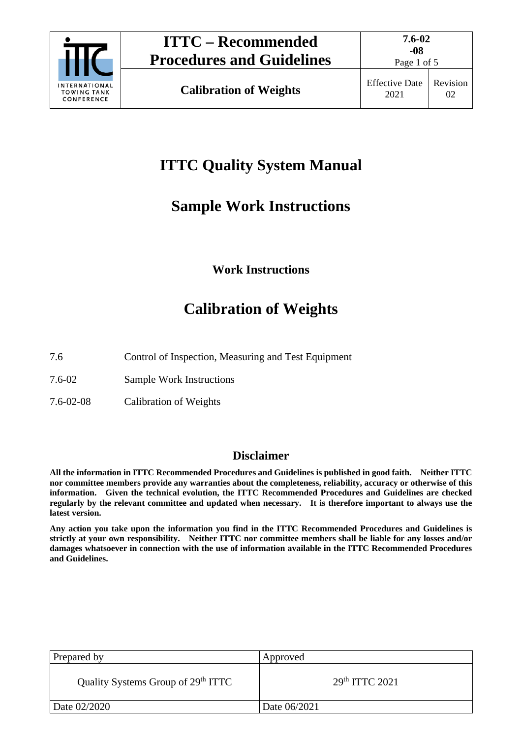

# **ITTC Quality System Manual**

# **Sample Work Instructions**

## **Work Instructions**

# **Calibration of Weights**

- 7.6 Control of Inspection, Measuring and Test Equipment
- 7.6-02 Sample Work Instructions
- 7.6-02-08 Calibration of Weights

### **Disclaimer**

**All the information in ITTC Recommended Procedures and Guidelines is published in good faith. Neither ITTC nor committee members provide any warranties about the completeness, reliability, accuracy or otherwise of this information. Given the technical evolution, the ITTC Recommended Procedures and Guidelines are checked regularly by the relevant committee and updated when necessary. It is therefore important to always use the latest version.**

**Any action you take upon the information you find in the ITTC Recommended Procedures and Guidelines is strictly at your own responsibility. Neither ITTC nor committee members shall be liable for any losses and/or damages whatsoever in connection with the use of information available in the ITTC Recommended Procedures and Guidelines.**

| Prepared by                                    | Approved         |  |
|------------------------------------------------|------------------|--|
| Quality Systems Group of 29 <sup>th</sup> ITTC | $29th$ ITTC 2021 |  |
| Date 02/2020                                   | Date 06/2021     |  |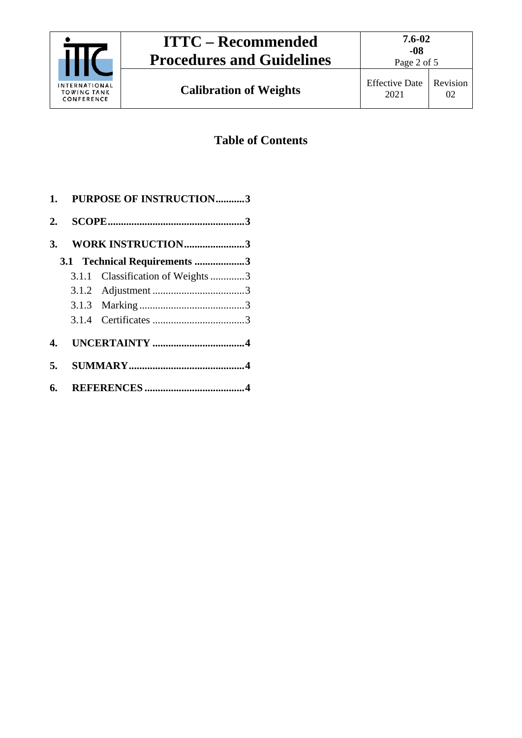

## **Table of Contents**

|    | 1. PURPOSE OF INSTRUCTION3        |  |
|----|-----------------------------------|--|
|    |                                   |  |
|    | 3. WORK INSTRUCTION3              |  |
|    | 3.1 Technical Requirements 3      |  |
|    | 3.1.1 Classification of Weights 3 |  |
|    |                                   |  |
|    |                                   |  |
|    |                                   |  |
|    |                                   |  |
| 5. |                                   |  |
|    |                                   |  |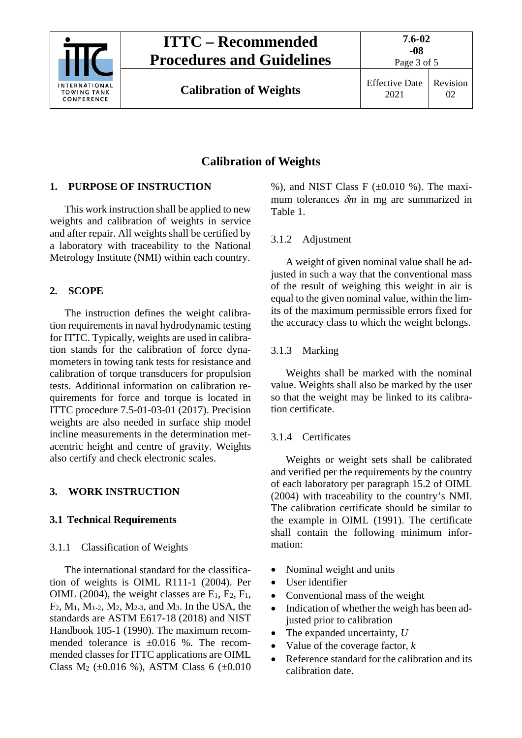

# **ITTC – Recommended Procedures and Guidelines**

**Calibration of Weights** Effective Date

## Revision 02

Page 3 of 5

## **Calibration of Weights**

### <span id="page-2-0"></span>**1. PURPOSE OF INSTRUCTION**

This work instruction shall be applied to new weights and calibration of weights in service and after repair. All weights shall be certified by a laboratory with traceability to the National Metrology Institute (NMI) within each country.

### <span id="page-2-1"></span>**2. SCOPE**

The instruction defines the weight calibration requirements in naval hydrodynamic testing for ITTC. Typically, weights are used in calibration stands for the calibration of force dynamometers in towing tank tests for resistance and calibration of torque transducers for propulsion tests. Additional information on calibration requirements for force and torque is located in ITTC procedure 7.5-01-03-01 (2017). Precision weights are also needed in surface ship model incline measurements in the determination metacentric height and centre of gravity. Weights also certify and check electronic scales.

### <span id="page-2-3"></span><span id="page-2-2"></span>**3. WORK INSTRUCTION**

### <span id="page-2-4"></span>**3.1 Technical Requirements**

#### 3.1.1 Classification of Weights

The international standard for the classification of weights is OIML R111-1 (2004). Per OIML (2004), the weight classes are  $E_1$ ,  $E_2$ ,  $F_1$ , F2, M1, M1-2, M2, M2-3, and M3. In the USA, the standards are ASTM E617-18 (2018) and NIST Handbook 105-1 (1990). The maximum recommended tolerance is ±0.016 %. The recommended classes for ITTC applications are OIML Class M<sub>2</sub> ( $\pm 0.016$  %), ASTM Class 6 ( $\pm 0.010$ )

%), and NIST Class F  $(\pm 0.010)$ %). The maximum tolerances δ*m* in mg are summarized in [Table 1.](#page-3-3)

#### <span id="page-2-5"></span>3.1.2 Adjustment

A weight of given nominal value shall be adjusted in such a way that the conventional mass of the result of weighing this weight in air is equal to the given nominal value, within the limits of the maximum permissible errors fixed for the accuracy class to which the weight belongs.

### <span id="page-2-6"></span>3.1.3 Marking

Weights shall be marked with the nominal value. Weights shall also be marked by the user so that the weight may be linked to its calibration certificate.

### <span id="page-2-7"></span>3.1.4 Certificates

Weights or weight sets shall be calibrated and verified per the requirements by the country of each laboratory per paragraph 15.2 of OIML (2004) with traceability to the country's NMI. The calibration certificate should be similar to the example in OIML (1991). The certificate shall contain the following minimum information:

- Nominal weight and units
- User identifier
- Conventional mass of the weight
- Indication of whether the weigh has been adjusted prior to calibration
- The expanded uncertainty, *U*
- Value of the coverage factor, *k*
- Reference standard for the calibration and its calibration date.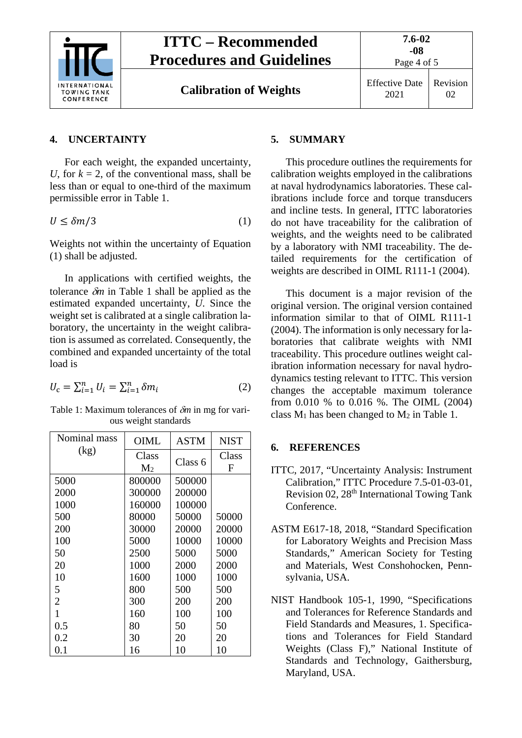

Page 4 of 5

#### <span id="page-3-0"></span>**4. UNCERTAINTY**

For each weight, the expanded uncertainty, *U*, for  $k = 2$ , of the conventional mass, shall be less than or equal to one-third of the maximum permissible error in [Table 1.](#page-3-3)

<span id="page-3-4"></span>
$$
U \le \delta m/3 \tag{1}
$$

Weights not within the uncertainty of Equation [\(1\)](#page-3-4) shall be adjusted.

In applications with certified weights, the tolerance δ*m* in [Table 1](#page-3-3) shall be applied as the estimated expanded uncertainty, *U*. Since the weight set is calibrated at a single calibration laboratory, the uncertainty in the weight calibration is assumed as correlated. Consequently, the combined and expanded uncertainty of the total load is

<span id="page-3-3"></span>
$$
U_{\rm c} = \sum_{i=1}^{n} U_i = \sum_{i=1}^{n} \delta m_i \tag{2}
$$

Table 1: Maximum tolerances of δ*m* in mg for various weight standards

| Nominal mass   | <b>OIML</b>             | <b>ASTM</b> | <b>NIST</b> |  |
|----------------|-------------------------|-------------|-------------|--|
| (kg)           | Class<br>M <sub>2</sub> | Class 6     | Class<br>F  |  |
| 5000           | 800000                  | 500000      |             |  |
| 2000           | 300000                  | 200000      |             |  |
| 1000           | 160000                  | 100000      |             |  |
| 500            | 80000                   | 50000       | 50000       |  |
| 200            | 30000                   | 20000       | 20000       |  |
| 100            | 5000                    | 10000       | 10000       |  |
| 50             | 2500                    | 5000        | 5000        |  |
| 20             | 1000                    | 2000        | 2000        |  |
| 10             | 1600                    | 1000        | 1000        |  |
| 5              | 800                     | 500         | 500         |  |
| $\overline{2}$ | 300                     | 200         | 200         |  |
| $\mathbf{1}$   | 160                     | 100         | 100         |  |
| 0.5            | 80                      | 50          | 50          |  |
| 0.2            | 30                      | 20          | 20          |  |
| 0.1            | 16                      | 10          | 10          |  |

#### <span id="page-3-1"></span>**5. SUMMARY**

This procedure outlines the requirements for calibration weights employed in the calibrations at naval hydrodynamics laboratories. These calibrations include force and torque transducers and incline tests. In general, ITTC laboratories do not have traceability for the calibration of weights, and the weights need to be calibrated by a laboratory with NMI traceability. The detailed requirements for the certification of weights are described in OIML R111-1 (2004).

This document is a major revision of the original version. The original version contained information similar to that of OIML R111-1 (2004). The information is only necessary for laboratories that calibrate weights with NMI traceability. This procedure outlines weight calibration information necessary for naval hydrodynamics testing relevant to ITTC. This version changes the acceptable maximum tolerance from 0.010 % to 0.016 %. The OIML (2004) class  $M_1$  has been changed to  $M_2$  in [Table 1.](#page-3-3)

#### <span id="page-3-2"></span>**6. REFERENCES**

- ITTC, 2017, "Uncertainty Analysis: Instrument Calibration," ITTC Procedure 7.5-01-03-01, Revision 02, 28<sup>th</sup> International Towing Tank Conference.
- ASTM E617-18, 2018, "Standard Specification for Laboratory Weights and Precision Mass Standards," American Society for Testing and Materials, West Conshohocken, Pennsylvania, USA.
- NIST Handbook 105-1, 1990, "Specifications and Tolerances for Reference Standards and Field Standards and Measures, 1. Specifications and Tolerances for Field Standard Weights (Class F)," National Institute of Standards and Technology, Gaithersburg, Maryland, USA.